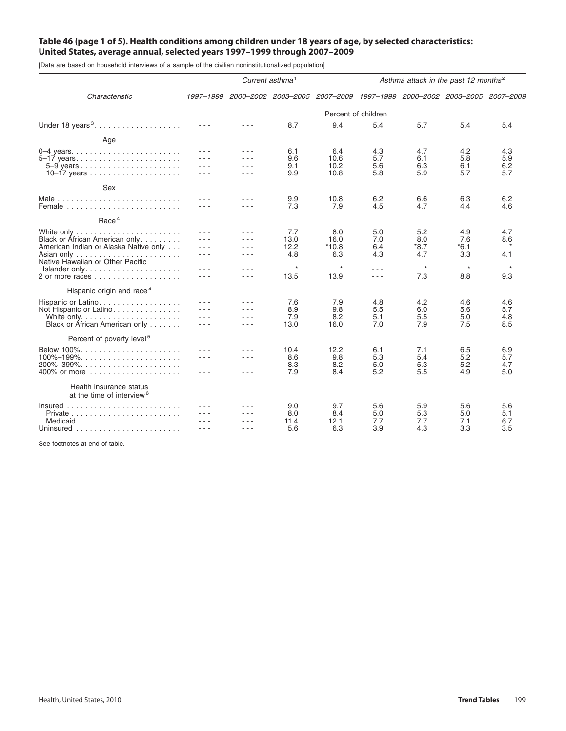# Table 46 (page 1 of 5). Health conditions among children under 18 years of age, by selected characteristics: **United States, average annual, selected years 1997–1999 through 2007–2009**

[Data are based on household interviews of a sample of the civilian noninstitutionalized population]

|                                                                  | Current asthma <sup>1</sup> |                |            |                                                                                 | Asthma attack in the past 12 months <sup>2</sup> |            |            |            |
|------------------------------------------------------------------|-----------------------------|----------------|------------|---------------------------------------------------------------------------------|--------------------------------------------------|------------|------------|------------|
| Characteristic                                                   |                             |                |            | 1997-1999 2000-2002 2003-2005 2007-2009 1997-1999 2000-2002 2003-2005 2007-2009 |                                                  |            |            |            |
|                                                                  |                             |                |            |                                                                                 | Percent of children                              |            |            |            |
| Under 18 years <sup>3</sup> .                                    |                             | $  -$          | 8.7        | 9.4                                                                             | 5.4                                              | 5.7        | 5.4        | 5.4        |
| Age                                                              |                             |                |            |                                                                                 |                                                  |            |            |            |
| 5-17 years                                                       | - - -<br>$  -$              | - - -<br>$  -$ | 6.1<br>9.6 | 6.4<br>10.6                                                                     | 4.3<br>5.7                                       | 4.7<br>6.1 | 4.2<br>5.8 | 4.3<br>5.9 |
|                                                                  | - - -                       | - - -          | 9.1        | 10.2                                                                            | 5.6                                              | 6.3        | 6.1        | 6.2        |
|                                                                  | - - -                       | .              | 9.9        | 10.8                                                                            | 5.8                                              | 5.9        | 5.7        | 5.7        |
| Sex                                                              |                             |                |            |                                                                                 |                                                  |            |            |            |
| Male                                                             |                             | - - -          | 9.9        | 10.8                                                                            | 6.2                                              | 6.6        | 6.3        | 6.2        |
| Female                                                           | - - -                       | - - -          | 7.3        | 7.9                                                                             | 4.5                                              | 4.7        | 4.4        | 4.6        |
| Race <sup>4</sup>                                                |                             |                |            |                                                                                 |                                                  |            |            |            |
|                                                                  |                             | - - -          | 7.7        | 8.0                                                                             | 5.0                                              | 5.2        | 4.9        | 4.7        |
| Black or African American only                                   | - - -                       | $ -$           | 13.0       | 16.0                                                                            | 7.0                                              | 8.0        | 7.6        | 8.6        |
| American Indian or Alaska Native only                            | $  -$                       | - - -          | 12.2       | $*10.8$                                                                         | 6.4                                              | $*8.7$     | $*6.1$     |            |
| Native Hawaiian or Other Pacific                                 | $  -$                       | - - -          | 4.8        | 6.3                                                                             | 4.3                                              | 4.7        | 3.3        | 4.1        |
| Islander only                                                    | - - -                       | - - -          | $\star$    | $\star$                                                                         | $- - -$                                          | $\star$    | $\star$    | $\star$    |
|                                                                  | - - -                       | - - -          | 13.5       | 13.9                                                                            | $- - -$                                          | 7.3        | 8.8        | 9.3        |
| Hispanic origin and race <sup>4</sup>                            |                             |                |            |                                                                                 |                                                  |            |            |            |
| Hispanic or Latino.                                              |                             | - - -          | 7.6        | 7.9                                                                             | 4.8                                              | 4.2        | 4.6        | 4.6        |
| Not Hispanic or Latino.                                          | - - -                       | .              | 8.9        | 9.8                                                                             | 5.5                                              | 6.0        | 5.6        | 5.7        |
|                                                                  | - - -                       | - - -          | 7.9        | 8.2                                                                             | 5.1                                              | 5.5        | 5.0        | 4.8        |
| Black or African American only                                   | - - -                       | - - -          | 13.0       | 16.0                                                                            | 7.0                                              | 7.9        | 7.5        | 8.5        |
| Percent of poverty level <sup>5</sup>                            |                             |                |            |                                                                                 |                                                  |            |            |            |
|                                                                  |                             |                | 10.4       | 12.2                                                                            | 6.1                                              | 7.1        | 6.5        | 6.9        |
| $100\% - 199\%$                                                  |                             |                | 8.6        | 9.8                                                                             | 5.3                                              | 5.4        | 5.2        | 5.7        |
| $200\% - 399\%$                                                  |                             | - - -          | 8.3        | 8.2                                                                             | 5.0                                              | 5.3        | 5.2        | 4.7        |
|                                                                  | - - -                       | ---            | 7.9        | 8.4                                                                             | 5.2                                              | 5.5        | 4.9        | 5.0        |
| Health insurance status<br>at the time of interview <sup>6</sup> |                             |                |            |                                                                                 |                                                  |            |            |            |
| $insured$                                                        |                             |                | 9.0        | 9.7                                                                             | 5.6                                              | 5.9        | 5.6        | 5.6        |
|                                                                  |                             |                | 8.0        | 8.4                                                                             | 5.0                                              | 5.3        | 5.0        | 5.1        |
| Medicaid                                                         |                             |                | 11.4       | 12.1                                                                            | 7.7                                              | 7.7        | 7.1        | 6.7        |
| Uninsured $\ldots \ldots \ldots \ldots \ldots \ldots$            | - - -                       | ---            | 5.6        | 6.3                                                                             | 3.9                                              | 4.3        | 3.3        | 3.5        |
|                                                                  |                             |                |            |                                                                                 |                                                  |            |            |            |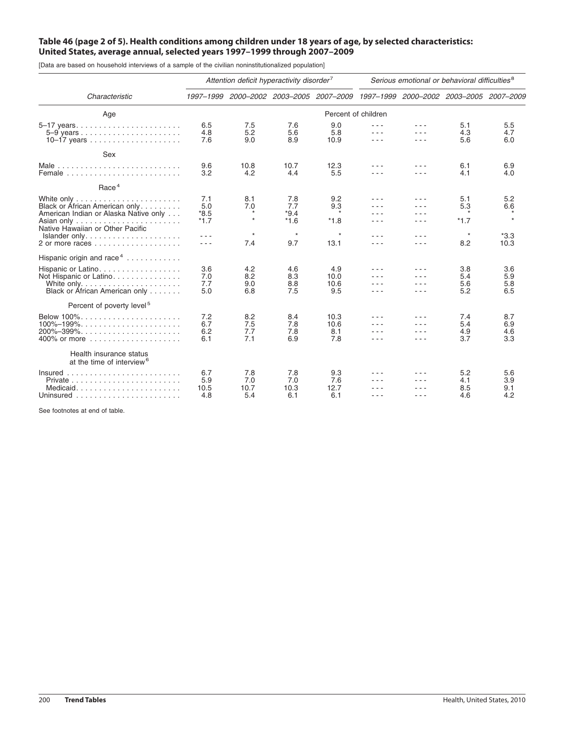# Table 46 (page 2 of 5). Health conditions among children under 18 years of age, by selected characteristics: **United States, average annual, selected years 1997–1999 through 2007–2009**

[Data are based on household interviews of a sample of the civilian noninstitutionalized population]

|                                                                                                                                                                      | Attention deficit hyperactivity disorder <sup>7</sup> |                           |                                |                                                                                 | Serious emotional or behavioral difficulties <sup>8</sup> |            |                          |                          |
|----------------------------------------------------------------------------------------------------------------------------------------------------------------------|-------------------------------------------------------|---------------------------|--------------------------------|---------------------------------------------------------------------------------|-----------------------------------------------------------|------------|--------------------------|--------------------------|
| Characteristic                                                                                                                                                       |                                                       |                           |                                | 1997–1999 2000–2002 2003–2005 2007–2009 1997–1999 2000–2002 2003–2005 2007–2009 |                                                           |            |                          |                          |
| Age                                                                                                                                                                  | Percent of children                                   |                           |                                |                                                                                 |                                                           |            |                          |                          |
| 5-17 years                                                                                                                                                           | 6.5<br>4.8<br>7.6                                     | 7.5<br>5.2<br>9.0         | 7.6<br>5.6<br>8.9              | 9.0<br>5.8<br>10.9                                                              | $- - -$                                                   | .          | 5.1<br>4.3<br>5.6        | 5.5<br>4.7<br>6.0        |
| Sex                                                                                                                                                                  |                                                       |                           |                                |                                                                                 |                                                           |            |                          |                          |
| Female                                                                                                                                                               | 9.6<br>3.2                                            | 10.8<br>4.2               | 10.7<br>4.4                    | 12.3<br>5.5                                                                     | - - -                                                     | .          | 6.1<br>4.1               | 6.9<br>4.0               |
| Race <sup>4</sup>                                                                                                                                                    |                                                       |                           |                                |                                                                                 |                                                           |            |                          |                          |
| Black or African American only.<br>American Indian or Alaska Native only<br>Native Hawaiian or Other Pacific                                                         | 7.1<br>5.0<br>$*8.5$<br>$*1.7$                        | 8.1<br>7.0<br>$\star$     | 7.8<br>7.7<br>$*9.4$<br>$*1.6$ | 9.2<br>9.3<br>$*1.8$                                                            | - - -<br>$  -$                                            | .<br>.     | 5.1<br>5.3<br>$*1.7$     | 5.2<br>6.6               |
| $Islander only. \ldots \ldots \ldots \ldots \ldots$                                                                                                                  | .<br>- - -                                            | $\star$<br>7.4            | $\star$<br>9.7                 | $\star$<br>13.1                                                                 | - - -<br>- - -                                            | .<br>.     | $^\star$<br>8.2          | $*3.3$<br>10.3           |
| Hispanic origin and race <sup>4</sup><br>Hispanic or Latino.<br>Not Hispanic or Latino.<br>Black or Áfrican American only                                            | 3.6<br>7.0<br>7.7<br>5.0                              | 4.2<br>8.2<br>9.0<br>6.8  | 4.6<br>8.3<br>8.8<br>7.5       | 4.9<br>10.0<br>10.6<br>9.5                                                      | - - -<br>$- - -$<br>- - -                                 | .<br>- - - | 3.8<br>5.4<br>5.6<br>5.2 | 3.6<br>5.9<br>5.8<br>6.5 |
| Percent of poverty level <sup>5</sup>                                                                                                                                |                                                       |                           |                                |                                                                                 |                                                           |            |                          |                          |
| Below $100\%$<br>$100\% - 199\%$<br>$200\% - 399\%$                                                                                                                  | 7.2<br>6.7<br>6.2<br>6.1                              | 8.2<br>7.5<br>7.7<br>7.1  | 8.4<br>7.8<br>7.8<br>6.9       | 10.3<br>10.6<br>8.1<br>7.8                                                      | - - -                                                     |            | 7.4<br>5.4<br>4.9<br>3.7 | 8.7<br>6.9<br>4.6<br>3.3 |
| Health insurance status<br>at the time of interview <sup>6</sup>                                                                                                     |                                                       |                           |                                |                                                                                 |                                                           |            |                          |                          |
| $Insured$<br>Private $\ldots$ , $\ldots$ , $\ldots$ , $\ldots$ , $\ldots$ , $\ldots$ , $\ldots$<br>Medicaid<br>Uninsured $\ldots \ldots \ldots \ldots \ldots \ldots$ | 6.7<br>5.9<br>10.5<br>4.8                             | 7.8<br>7.0<br>10.7<br>5.4 | 7.8<br>7.0<br>10.3<br>6.1      | 9.3<br>7.6<br>12.7<br>6.1                                                       | ---                                                       |            | 5.2<br>4.1<br>8.5<br>4.6 | 5.6<br>3.9<br>9.1<br>4.2 |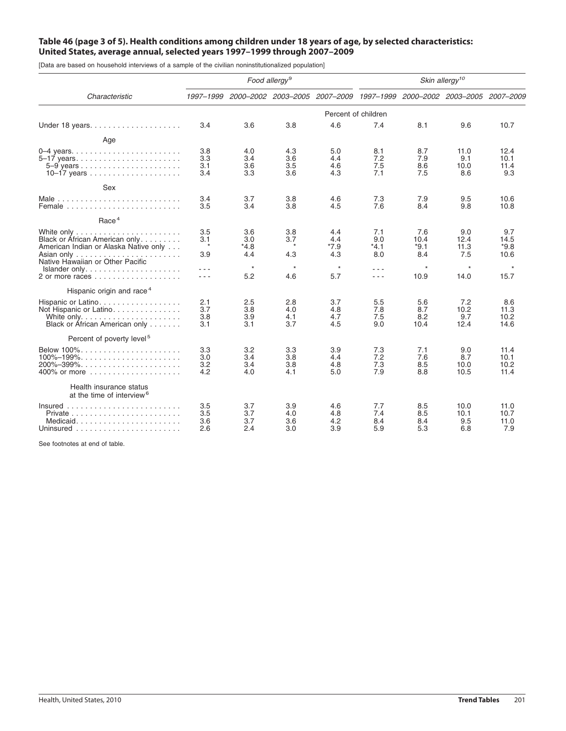# Table 46 (page 3 of 5). Health conditions among children under 18 years of age, by selected characteristics: **United States, average annual, selected years 1997–1999 through 2007–2009**

[Data are based on household interviews of a sample of the civilian noninstitutionalized population]

|                                                                                                             | Food allergy <sup>9</sup>    |                           |                              |                                                                       | Skin allergy <sup>10</sup>  |                              |                            |                               |
|-------------------------------------------------------------------------------------------------------------|------------------------------|---------------------------|------------------------------|-----------------------------------------------------------------------|-----------------------------|------------------------------|----------------------------|-------------------------------|
| Characteristic                                                                                              | 1997-1999                    |                           |                              | 2000-2002 2003-2005 2007-2009 1997-1999 2000-2002 2003-2005 2007-2009 |                             |                              |                            |                               |
|                                                                                                             |                              |                           |                              | Percent of children                                                   |                             |                              |                            |                               |
|                                                                                                             | 3.4                          | 3.6                       | 3.8                          | 4.6                                                                   | 7.4                         | 8.1                          | 9.6                        | 10.7                          |
| Age                                                                                                         |                              |                           |                              |                                                                       |                             |                              |                            |                               |
| $0-4$ years<br>5–17 years                                                                                   | 3.8<br>3.3<br>3.1<br>3.4     | 4.0<br>3.4<br>3.6<br>3.3  | 4.3<br>3.6<br>3.5<br>3.6     | 5.0<br>4.4<br>4.6<br>4.3                                              | 8.1<br>7.2<br>7.5<br>7.1    | 8.7<br>7.9<br>8.6<br>7.5     | 11.0<br>9.1<br>10.0<br>8.6 | 12.4<br>10.1<br>11.4<br>9.3   |
| Sex                                                                                                         |                              |                           |                              |                                                                       |                             |                              |                            |                               |
| Female $\ldots \ldots \ldots \ldots \ldots \ldots \ldots$                                                   | 3.4<br>3.5                   | 3.7<br>3.4                | 3.8<br>3.8                   | 4.6<br>4.5                                                            | 7.3<br>7.6                  | 7.9<br>8.4                   | 9.5<br>9.8                 | 10.6<br>10.8                  |
| Race <sup>4</sup>                                                                                           |                              |                           |                              |                                                                       |                             |                              |                            |                               |
| Black or African American only<br>American Indian or Alaska Native only<br>Native Hawaiian or Other Pacific | 3.5<br>3.1<br>$\star$<br>3.9 | 3.6<br>3.0<br>*4.8<br>4.4 | 3.8<br>3.7<br>$\star$<br>4.3 | 4.4<br>4.4<br>*7.9<br>4.3                                             | 7.1<br>9.0<br>$*4.1$<br>8.0 | 7.6<br>10.4<br>$*9.1$<br>8.4 | 9.0<br>12.4<br>11.3<br>7.5 | 9.7<br>14.5<br>$*9.8$<br>10.6 |
| $Islander only. \ldots \ldots \ldots \ldots \ldots$                                                         | $  -$<br>- - -               | $\star$<br>5.2            | $\star$<br>4.6               | $\star$<br>5.7                                                        | $- - -$<br>$- - -$          | $\star$<br>10.9              | $\star$<br>14.0            | $\star$<br>15.7               |
| Hispanic origin and race <sup>4</sup>                                                                       |                              |                           |                              |                                                                       |                             |                              |                            |                               |
| Hispanic or Latino<br>Not Hispanic or Latino<br>Black or Áfrican American only                              | 2.1<br>3.7<br>3.8<br>3.1     | 2.5<br>3.8<br>3.9<br>3.1  | 2.8<br>4.0<br>4.1<br>3.7     | 3.7<br>4.8<br>4.7<br>4.5                                              | 5.5<br>7.8<br>7.5<br>9.0    | 5.6<br>8.7<br>8.2<br>10.4    | 7.2<br>10.2<br>9.7<br>12.4 | 8.6<br>11.3<br>10.2<br>14.6   |
| Percent of poverty level <sup>5</sup>                                                                       |                              |                           |                              |                                                                       |                             |                              |                            |                               |
| $100\% - 199\%$                                                                                             | 3.3<br>3.0<br>3.2<br>4.2     | 3.2<br>3.4<br>3.4<br>4.0  | 3.3<br>3.8<br>3.8<br>4.1     | 3.9<br>4.4<br>4.8<br>5.0                                              | 7.3<br>7.2<br>7.3<br>7.9    | 7.1<br>7.6<br>8.5<br>8.8     | 9.0<br>8.7<br>10.0<br>10.5 | 11.4<br>10.1<br>10.2<br>11.4  |
| Health insurance status<br>at the time of interview <sup>6</sup>                                            |                              |                           |                              |                                                                       |                             |                              |                            |                               |
| $Insured$<br>Medicaid                                                                                       | 3.5<br>3.5<br>3.6<br>2.6     | 3.7<br>3.7<br>3.7<br>2.4  | 3.9<br>4.0<br>3.6<br>3.0     | 4.6<br>4.8<br>4.2<br>3.9                                              | 7.7<br>7.4<br>8.4<br>5.9    | 8.5<br>8.5<br>8.4<br>5.3     | 10.0<br>10.1<br>9.5<br>6.8 | 11.0<br>10.7<br>11.0<br>7.9   |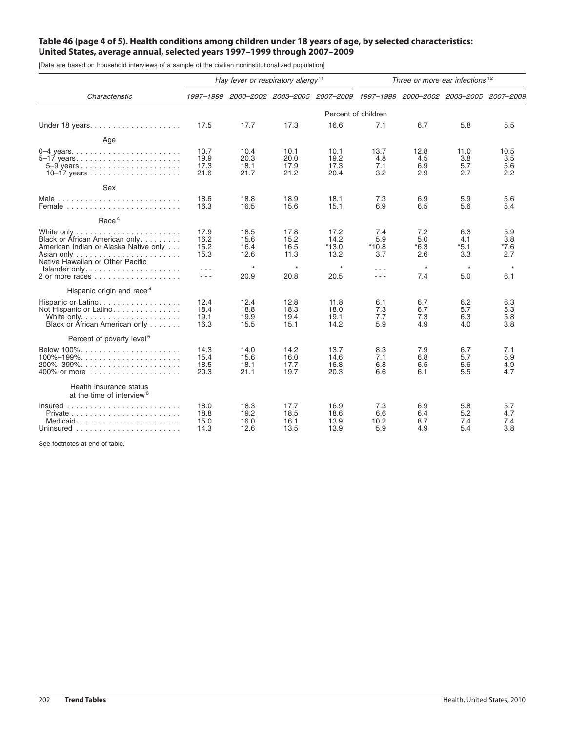# Table 46 (page 4 of 5). Health conditions among children under 18 years of age, by selected characteristics: **United States, average annual, selected years 1997–1999 through 2007–2009**

[Data are based on household interviews of a sample of the civilian noninstitutionalized population]

|                                                                                                             | Hay fever or respiratory allergy <sup>11</sup> |                              |                              |                                                                                 | Three or more ear infections <sup>12</sup>                                                                             |                           |                                        |                                       |
|-------------------------------------------------------------------------------------------------------------|------------------------------------------------|------------------------------|------------------------------|---------------------------------------------------------------------------------|------------------------------------------------------------------------------------------------------------------------|---------------------------|----------------------------------------|---------------------------------------|
| Characteristic                                                                                              |                                                |                              |                              | 1997-1999 2000-2002 2003-2005 2007-2009 1997-1999 2000-2002 2003-2005 2007-2009 |                                                                                                                        |                           |                                        |                                       |
|                                                                                                             |                                                |                              |                              | Percent of children                                                             |                                                                                                                        |                           |                                        |                                       |
|                                                                                                             | 17.5                                           | 17.7                         | 17.3                         | 16.6                                                                            | 7.1                                                                                                                    | 6.7                       | 5.8                                    | 5.5                                   |
| Age                                                                                                         |                                                |                              |                              |                                                                                 |                                                                                                                        |                           |                                        |                                       |
|                                                                                                             | 10.7<br>19.9<br>17.3<br>21.6                   | 10.4<br>20.3<br>18.1<br>21.7 | 10.1<br>20.0<br>17.9<br>21.2 | 10.1<br>19.2<br>17.3<br>20.4                                                    | 13.7<br>4.8<br>7.1<br>3.2                                                                                              | 12.8<br>4.5<br>6.9<br>2.9 | 11.0<br>3.8<br>5.7<br>2.7              | 10.5<br>3.5<br>5.6<br>2.2             |
| Sex                                                                                                         |                                                |                              |                              |                                                                                 |                                                                                                                        |                           |                                        |                                       |
|                                                                                                             | 18.6<br>16.3                                   | 18.8<br>16.5                 | 18.9<br>15.6                 | 18.1<br>15.1                                                                    | 7.3<br>6.9                                                                                                             | 6.9<br>6.5                | 5.9<br>5.6                             | 5.6<br>5.4                            |
| Race <sup>4</sup>                                                                                           |                                                |                              |                              |                                                                                 |                                                                                                                        |                           |                                        |                                       |
| Black or African American only<br>American Indian or Alaska Native only<br>Native Hawaiian or Other Pacific | 17.9<br>16.2<br>15.2<br>15.3                   | 18.5<br>15.6<br>16.4<br>12.6 | 17.8<br>15.2<br>16.5<br>11.3 | 17.2<br>14.2<br>*13.0<br>13.2<br>$\star$                                        | 7.4<br>5.9<br>$*10.8$<br>3.7                                                                                           | 7.2<br>5.0<br>*6.3<br>2.6 | 6.3<br>4.1<br>$*5.1$<br>3.3<br>$\star$ | 5.9<br>3.8<br>*7.6<br>2.7<br>$^\star$ |
| Islander only                                                                                               | $\sim$ $\sim$ $\sim$<br>$\sim$ $\sim$ $\sim$   | $\star$<br>20.9              | $\star$<br>20.8              | 20.5                                                                            | $\sim$ $\sim$ $\sim$<br>$\frac{1}{2} \left( \frac{1}{2} \right) \left( \frac{1}{2} \right) \left( \frac{1}{2} \right)$ | $^\star$<br>7.4           | 5.0                                    | 6.1                                   |
| Hispanic origin and race <sup>4</sup>                                                                       |                                                |                              |                              |                                                                                 |                                                                                                                        |                           |                                        |                                       |
| Hispanic or Latino<br>Not Hispanic or Latino<br>Black or African American only                              | 12.4<br>18.4<br>19.1<br>16.3                   | 12.4<br>18.8<br>19.9<br>15.5 | 12.8<br>18.3<br>19.4<br>15.1 | 11.8<br>18.0<br>19.1<br>14.2                                                    | 6.1<br>7.3<br>7.7<br>5.9                                                                                               | 6.7<br>6.7<br>7.3<br>4.9  | 6.2<br>5.7<br>6.3<br>4.0               | 6.3<br>5.3<br>5.8<br>3.8              |
| Percent of poverty level <sup>5</sup>                                                                       |                                                |                              |                              |                                                                                 |                                                                                                                        |                           |                                        |                                       |
| Below $100\%$<br>$100\% - 199\%$<br>$200\% - 399\% \ldots \ldots \ldots \ldots \ldots \ldots \ldots$        | 14.3<br>15.4<br>18.5<br>20.3                   | 14.0<br>15.6<br>18.1<br>21.1 | 14.2<br>16.0<br>17.7<br>19.7 | 13.7<br>14.6<br>16.8<br>20.3                                                    | 8.3<br>7.1<br>6.8<br>6.6                                                                                               | 7.9<br>6.8<br>6.5<br>6.1  | 6.7<br>5.7<br>5.6<br>5.5               | 7.1<br>5.9<br>4.9<br>4.7              |
| Health insurance status<br>at the time of interview <sup>6</sup>                                            |                                                |                              |                              |                                                                                 |                                                                                                                        |                           |                                        |                                       |
| Medicaid                                                                                                    | 18.0<br>18.8<br>15.0<br>14.3                   | 18.3<br>19.2<br>16.0<br>12.6 | 17.7<br>18.5<br>16.1<br>13.5 | 16.9<br>18.6<br>13.9<br>13.9                                                    | 7.3<br>6.6<br>10.2<br>5.9                                                                                              | 6.9<br>6.4<br>8.7<br>4.9  | 5.8<br>5.2<br>7.4<br>5.4               | 5.7<br>4.7<br>7.4<br>3.8              |